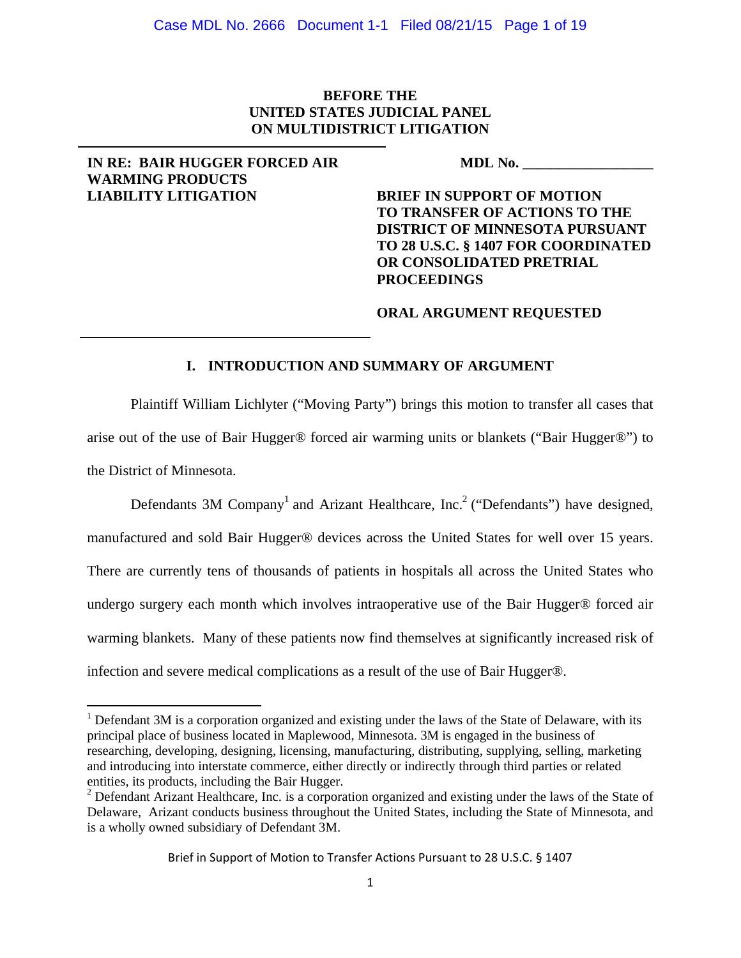# **BEFORE THE UNITED STATES JUDICIAL PANEL ON MULTIDISTRICT LITIGATION**

### **IN RE: BAIR HUGGER FORCED AIR WARMING PRODUCTS LIABILITY LITIGATION**

**MDL No. \_\_\_\_\_\_\_\_\_\_\_\_\_\_\_\_\_\_**

**BRIEF IN SUPPORT OF MOTION TO TRANSFER OF ACTIONS TO THE DISTRICT OF MINNESOTA PURSUANT TO 28 U.S.C. § 1407 FOR COORDINATED OR CONSOLIDATED PRETRIAL PROCEEDINGS** 

### **ORAL ARGUMENT REQUESTED**

## **I. INTRODUCTION AND SUMMARY OF ARGUMENT**

Plaintiff William Lichlyter ("Moving Party") brings this motion to transfer all cases that arise out of the use of Bair Hugger® forced air warming units or blankets ("Bair Hugger®") to the District of Minnesota.

Defendants 3M Company<sup>1</sup> and Arizant Healthcare, Inc.<sup>2</sup> ("Defendants") have designed, manufactured and sold Bair Hugger® devices across the United States for well over 15 years. There are currently tens of thousands of patients in hospitals all across the United States who undergo surgery each month which involves intraoperative use of the Bair Hugger® forced air warming blankets. Many of these patients now find themselves at significantly increased risk of infection and severe medical complications as a result of the use of Bair Hugger®.

 $1$  Defendant 3M is a corporation organized and existing under the laws of the State of Delaware, with its principal place of business located in Maplewood, Minnesota. 3M is engaged in the business of researching, developing, designing, licensing, manufacturing, distributing, supplying, selling, marketing and introducing into interstate commerce, either directly or indirectly through third parties or related entities, its products, including the Bair Hugger.

<sup>&</sup>lt;sup>2</sup> Defendant Arizant Healthcare, Inc. is a corporation organized and existing under the laws of the State of Delaware, Arizant conducts business throughout the United States, including the State of Minnesota, and is a wholly owned subsidiary of Defendant 3M.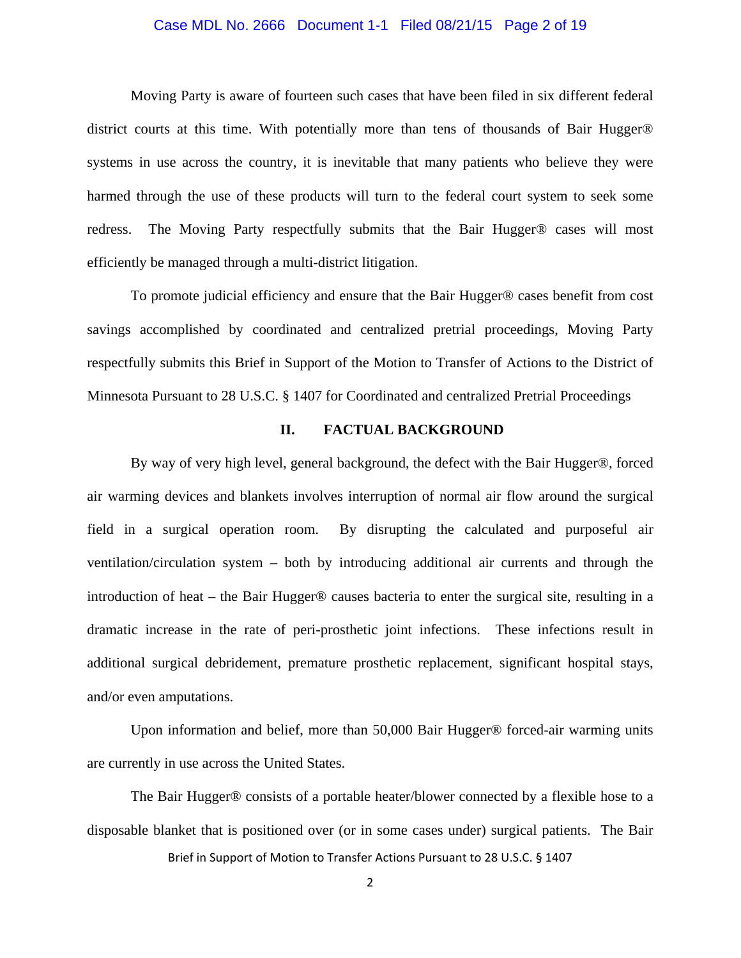### Case MDL No. 2666 Document 1-1 Filed 08/21/15 Page 2 of 19

Moving Party is aware of fourteen such cases that have been filed in six different federal district courts at this time. With potentially more than tens of thousands of Bair Hugger® systems in use across the country, it is inevitable that many patients who believe they were harmed through the use of these products will turn to the federal court system to seek some redress. The Moving Party respectfully submits that the Bair Hugger® cases will most efficiently be managed through a multi-district litigation.

To promote judicial efficiency and ensure that the Bair Hugger® cases benefit from cost savings accomplished by coordinated and centralized pretrial proceedings, Moving Party respectfully submits this Brief in Support of the Motion to Transfer of Actions to the District of Minnesota Pursuant to 28 U.S.C. § 1407 for Coordinated and centralized Pretrial Proceedings

### **II. FACTUAL BACKGROUND**

By way of very high level, general background, the defect with the Bair Hugger®, forced air warming devices and blankets involves interruption of normal air flow around the surgical field in a surgical operation room. By disrupting the calculated and purposeful air ventilation/circulation system – both by introducing additional air currents and through the introduction of heat – the Bair Hugger® causes bacteria to enter the surgical site, resulting in a dramatic increase in the rate of peri-prosthetic joint infections. These infections result in additional surgical debridement, premature prosthetic replacement, significant hospital stays, and/or even amputations.

Upon information and belief, more than 50,000 Bair Hugger® forced-air warming units are currently in use across the United States.

The Bair Hugger® consists of a portable heater/blower connected by a flexible hose to a disposable blanket that is positioned over (or in some cases under) surgical patients. The Bair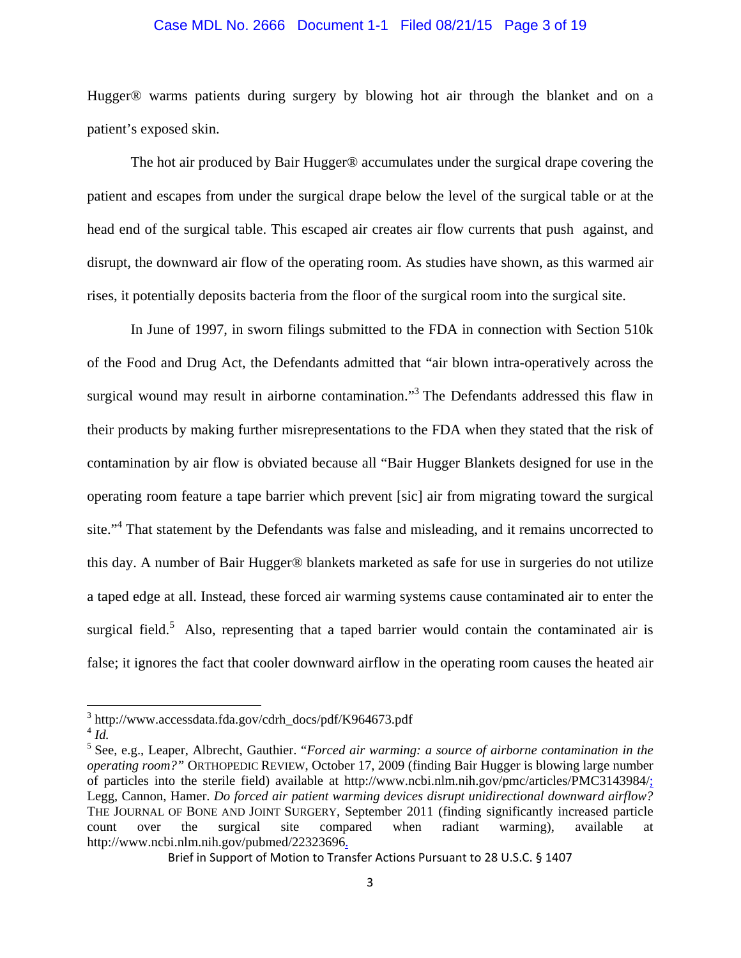### Case MDL No. 2666 Document 1-1 Filed 08/21/15 Page 3 of 19

Hugger® warms patients during surgery by blowing hot air through the blanket and on a patient's exposed skin.

The hot air produced by Bair Hugger® accumulates under the surgical drape covering the patient and escapes from under the surgical drape below the level of the surgical table or at the head end of the surgical table. This escaped air creates air flow currents that push against, and disrupt, the downward air flow of the operating room. As studies have shown, as this warmed air rises, it potentially deposits bacteria from the floor of the surgical room into the surgical site.

In June of 1997, in sworn filings submitted to the FDA in connection with Section 510k of the Food and Drug Act, the Defendants admitted that "air blown intra-operatively across the surgical wound may result in airborne contamination."<sup>3</sup> The Defendants addressed this flaw in their products by making further misrepresentations to the FDA when they stated that the risk of contamination by air flow is obviated because all "Bair Hugger Blankets designed for use in the operating room feature a tape barrier which prevent [sic] air from migrating toward the surgical site."<sup>4</sup> That statement by the Defendants was false and misleading, and it remains uncorrected to this day. A number of Bair Hugger® blankets marketed as safe for use in surgeries do not utilize a taped edge at all. Instead, these forced air warming systems cause contaminated air to enter the surgical field.<sup>5</sup> Also, representing that a taped barrier would contain the contaminated air is false; it ignores the fact that cooler downward airflow in the operating room causes the heated air

<sup>3</sup> http://www.accessdata.fda.gov/cdrh\_docs/pdf/K964673.pdf

 $4$   $Id$ <sup> $\cdot$ </sup>

<sup>5</sup> See, e.g., Leaper, Albrecht, Gauthier. "*Forced air warming: a source of airborne contamination in the operating room?"* ORTHOPEDIC REVIEW, October 17, 2009 (finding Bair Hugger is blowing large number of particles into the sterile field) available at http://www.ncbi.nlm.nih.gov/pmc/articles/PMC3143984/; Legg, Cannon, Hamer. *Do forced air patient warming devices disrupt unidirectional downward airflow?*  THE JOURNAL OF BONE AND JOINT SURGERY, September 2011 (finding significantly increased particle count over the surgical site compared when radiant warming), available at http://www.ncbi.nlm.nih.gov/pubmed/22323696.

Brief in Support of Motion to Transfer Actions Pursuant to 28 U.S.C. § 1407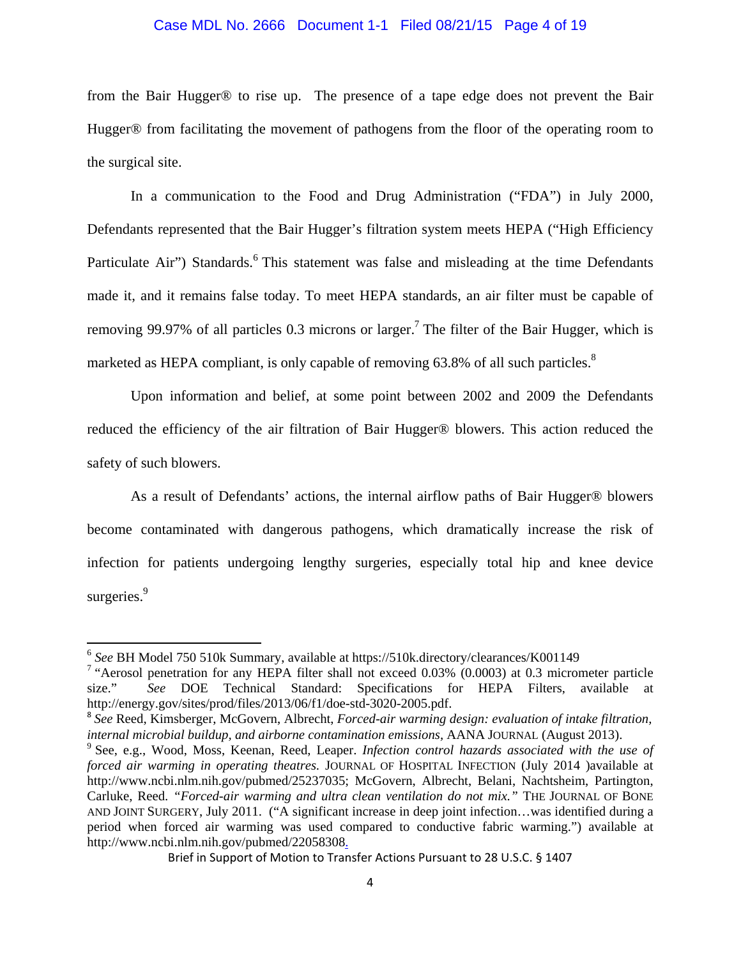### Case MDL No. 2666 Document 1-1 Filed 08/21/15 Page 4 of 19

from the Bair Hugger® to rise up. The presence of a tape edge does not prevent the Bair Hugger® from facilitating the movement of pathogens from the floor of the operating room to the surgical site.

In a communication to the Food and Drug Administration ("FDA") in July 2000, Defendants represented that the Bair Hugger's filtration system meets HEPA ("High Efficiency Particulate Air") Standards.<sup>6</sup> This statement was false and misleading at the time Defendants made it, and it remains false today. To meet HEPA standards, an air filter must be capable of removing 99.97% of all particles 0.3 microns or larger.<sup>7</sup> The filter of the Bair Hugger, which is marketed as HEPA compliant, is only capable of removing 63.8% of all such particles.<sup>8</sup>

Upon information and belief, at some point between 2002 and 2009 the Defendants reduced the efficiency of the air filtration of Bair Hugger® blowers. This action reduced the safety of such blowers.

As a result of Defendants' actions, the internal airflow paths of Bair Hugger® blowers become contaminated with dangerous pathogens, which dramatically increase the risk of infection for patients undergoing lengthy surgeries, especially total hip and knee device surgeries.<sup>9</sup>

<sup>6</sup> *See* BH Model 750 510k Summary, available at https://510k.directory/clearances/K001149

<sup>&</sup>lt;sup>7</sup> "Aerosol penetration for any HEPA filter shall not exceed 0.03% (0.0003) at 0.3 micrometer particle size." *See* DOE Technical Standard: Specifications for HEPA Filters, available at http://energy.gov/sites/prod/files/2013/06/f1/doe-std-3020-2005.pdf.

<sup>8</sup> *See* Reed, Kimsberger, McGovern, Albrecht, *Forced-air warming design: evaluation of intake filtration,*  internal microbial buildup, and airborne contamination emissions, AANA JOURNAL (August 2013).

See, e.g., Wood, Moss, Keenan, Reed, Leaper. *Infection control hazards associated with the use of forced air warming in operating theatres.* JOURNAL OF HOSPITAL INFECTION (July 2014 )available at http://www.ncbi.nlm.nih.gov/pubmed/25237035; McGovern, Albrecht, Belani, Nachtsheim, Partington, Carluke, Reed. *"Forced-air warming and ultra clean ventilation do not mix."* THE JOURNAL OF BONE AND JOINT SURGERY, July 2011. ("A significant increase in deep joint infection…was identified during a period when forced air warming was used compared to conductive fabric warming.") available at http://www.ncbi.nlm.nih.gov/pubmed/22058308.

Brief in Support of Motion to Transfer Actions Pursuant to 28 U.S.C. § 1407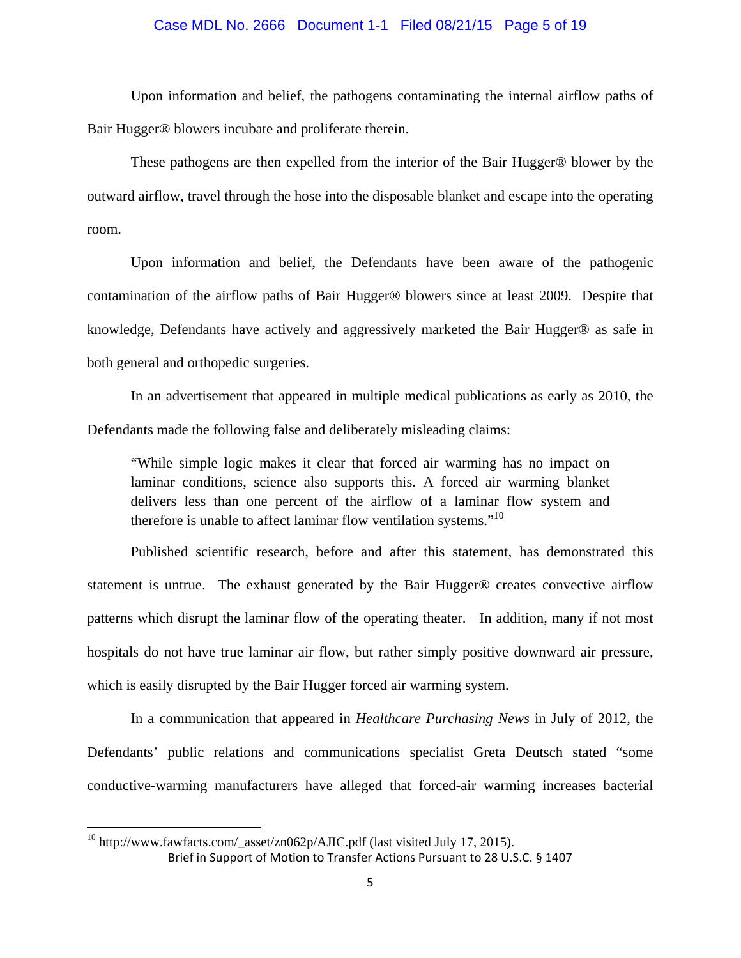### Case MDL No. 2666 Document 1-1 Filed 08/21/15 Page 5 of 19

Upon information and belief, the pathogens contaminating the internal airflow paths of Bair Hugger® blowers incubate and proliferate therein.

These pathogens are then expelled from the interior of the Bair Hugger® blower by the outward airflow, travel through the hose into the disposable blanket and escape into the operating room.

Upon information and belief, the Defendants have been aware of the pathogenic contamination of the airflow paths of Bair Hugger® blowers since at least 2009. Despite that knowledge, Defendants have actively and aggressively marketed the Bair Hugger® as safe in both general and orthopedic surgeries.

In an advertisement that appeared in multiple medical publications as early as 2010, the Defendants made the following false and deliberately misleading claims:

"While simple logic makes it clear that forced air warming has no impact on laminar conditions, science also supports this. A forced air warming blanket delivers less than one percent of the airflow of a laminar flow system and therefore is unable to affect laminar flow ventilation systems. $10<sup>10</sup>$ 

Published scientific research, before and after this statement, has demonstrated this statement is untrue. The exhaust generated by the Bair Hugger® creates convective airflow patterns which disrupt the laminar flow of the operating theater. In addition, many if not most hospitals do not have true laminar air flow, but rather simply positive downward air pressure, which is easily disrupted by the Bair Hugger forced air warming system.

In a communication that appeared in *Healthcare Purchasing News* in July of 2012, the Defendants' public relations and communications specialist Greta Deutsch stated "some conductive-warming manufacturers have alleged that forced-air warming increases bacterial

Brief in Support of Motion to Transfer Actions Pursuant to 28 U.S.C. § 1407  $10$  http://www.fawfacts.com/\_asset/zn062p/AJIC.pdf (last visited July 17, 2015).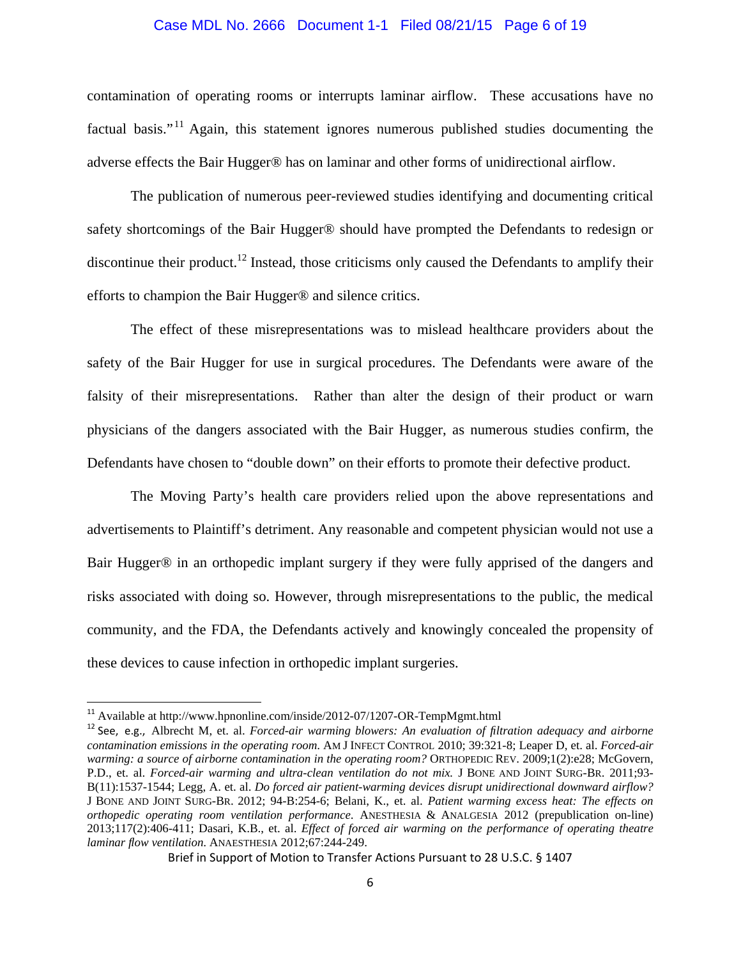### Case MDL No. 2666 Document 1-1 Filed 08/21/15 Page 6 of 19

contamination of operating rooms or interrupts laminar airflow. These accusations have no factual basis."<sup>11</sup> Again, this statement ignores numerous published studies documenting the adverse effects the Bair Hugger® has on laminar and other forms of unidirectional airflow.

The publication of numerous peer-reviewed studies identifying and documenting critical safety shortcomings of the Bair Hugger® should have prompted the Defendants to redesign or discontinue their product.<sup>12</sup> Instead, those criticisms only caused the Defendants to amplify their efforts to champion the Bair Hugger® and silence critics.

The effect of these misrepresentations was to mislead healthcare providers about the safety of the Bair Hugger for use in surgical procedures. The Defendants were aware of the falsity of their misrepresentations. Rather than alter the design of their product or warn physicians of the dangers associated with the Bair Hugger, as numerous studies confirm, the Defendants have chosen to "double down" on their efforts to promote their defective product.

The Moving Party's health care providers relied upon the above representations and advertisements to Plaintiff's detriment. Any reasonable and competent physician would not use a Bair Hugger® in an orthopedic implant surgery if they were fully apprised of the dangers and risks associated with doing so. However, through misrepresentations to the public, the medical community, and the FDA, the Defendants actively and knowingly concealed the propensity of these devices to cause infection in orthopedic implant surgeries.

<sup>&</sup>lt;sup>11</sup> Available at http://www.hpnonline.com/inside/2012-07/1207-OR-TempMgmt.html

<sup>&</sup>lt;sup>12</sup> See, e.g., Albrecht M, et. al. *Forced-air warming blowers: An evaluation of filtration adequacy and airborne contamination emissions in the operating room*. AM J INFECT CONTROL 2010; 39:321-8; Leaper D, et. al. *Forced-air warming: a source of airborne contamination in the operating room?* ORTHOPEDIC REV. 2009;1(2):e28; McGovern, P.D., et. al. *Forced-air warming and ultra-clean ventilation do not mix.* J BONE AND JOINT SURG-BR. 2011;93- B(11):1537-1544; Legg, A. et. al. *Do forced air patient-warming devices disrupt unidirectional downward airflow?* J BONE AND JOINT SURG-BR. 2012; 94-B:254-6; Belani, K., et. al. *Patient warming excess heat: The effects on orthopedic operating room ventilation performance*. ANESTHESIA & ANALGESIA 2012 (prepublication on-line) 2013;117(2):406-411; Dasari, K.B., et. al. *Effect of forced air warming on the performance of operating theatre laminar flow ventilation*. ANAESTHESIA 2012;67:244-249.

Brief in Support of Motion to Transfer Actions Pursuant to 28 U.S.C. § 1407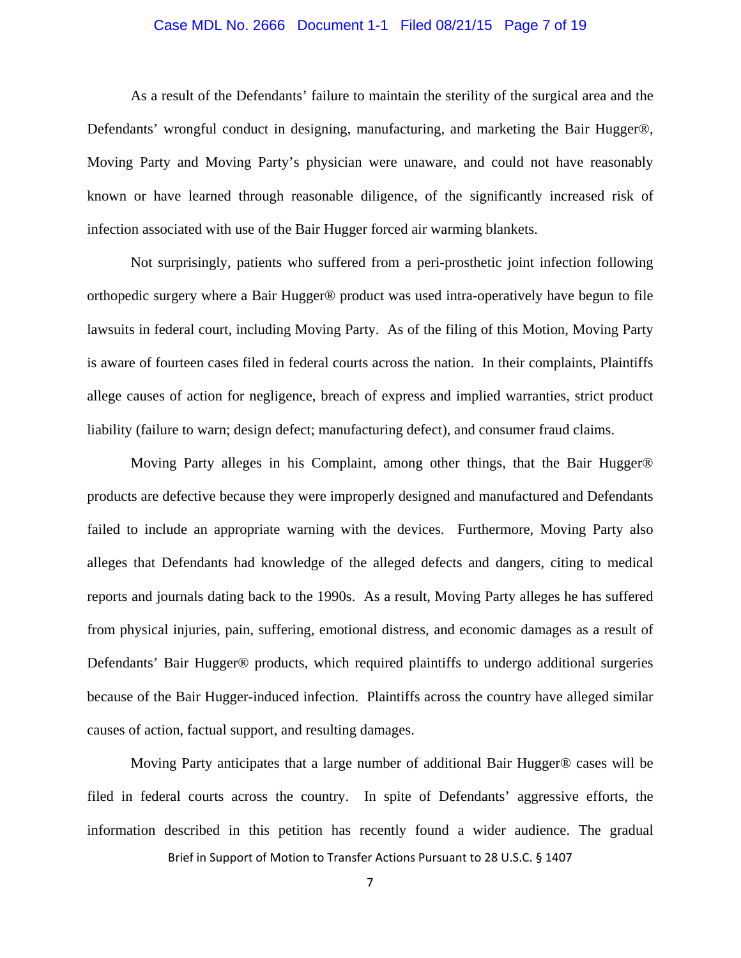### Case MDL No. 2666 Document 1-1 Filed 08/21/15 Page 7 of 19

As a result of the Defendants' failure to maintain the sterility of the surgical area and the Defendants' wrongful conduct in designing, manufacturing, and marketing the Bair Hugger®, Moving Party and Moving Party's physician were unaware, and could not have reasonably known or have learned through reasonable diligence, of the significantly increased risk of infection associated with use of the Bair Hugger forced air warming blankets.

Not surprisingly, patients who suffered from a peri-prosthetic joint infection following orthopedic surgery where a Bair Hugger® product was used intra-operatively have begun to file lawsuits in federal court, including Moving Party. As of the filing of this Motion, Moving Party is aware of fourteen cases filed in federal courts across the nation. In their complaints, Plaintiffs allege causes of action for negligence, breach of express and implied warranties, strict product liability (failure to warn; design defect; manufacturing defect), and consumer fraud claims.

Moving Party alleges in his Complaint, among other things, that the Bair Hugger® products are defective because they were improperly designed and manufactured and Defendants failed to include an appropriate warning with the devices. Furthermore, Moving Party also alleges that Defendants had knowledge of the alleged defects and dangers, citing to medical reports and journals dating back to the 1990s. As a result, Moving Party alleges he has suffered from physical injuries, pain, suffering, emotional distress, and economic damages as a result of Defendants' Bair Hugger® products, which required plaintiffs to undergo additional surgeries because of the Bair Hugger-induced infection. Plaintiffs across the country have alleged similar causes of action, factual support, and resulting damages.

Moving Party anticipates that a large number of additional Bair Hugger® cases will be filed in federal courts across the country. In spite of Defendants' aggressive efforts, the information described in this petition has recently found a wider audience. The gradual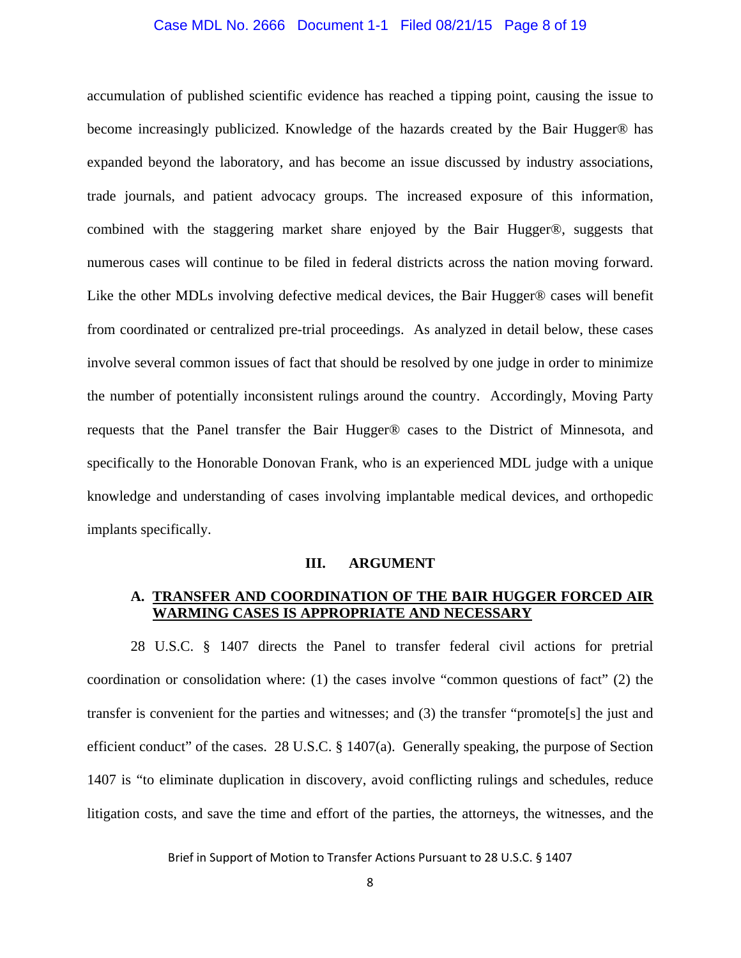### Case MDL No. 2666 Document 1-1 Filed 08/21/15 Page 8 of 19

accumulation of published scientific evidence has reached a tipping point, causing the issue to become increasingly publicized. Knowledge of the hazards created by the Bair Hugger® has expanded beyond the laboratory, and has become an issue discussed by industry associations, trade journals, and patient advocacy groups. The increased exposure of this information, combined with the staggering market share enjoyed by the Bair Hugger®, suggests that numerous cases will continue to be filed in federal districts across the nation moving forward. Like the other MDLs involving defective medical devices, the Bair Hugger® cases will benefit from coordinated or centralized pre-trial proceedings. As analyzed in detail below, these cases involve several common issues of fact that should be resolved by one judge in order to minimize the number of potentially inconsistent rulings around the country. Accordingly, Moving Party requests that the Panel transfer the Bair Hugger® cases to the District of Minnesota, and specifically to the Honorable Donovan Frank, who is an experienced MDL judge with a unique knowledge and understanding of cases involving implantable medical devices, and orthopedic implants specifically.

#### **III. ARGUMENT**

## **A. TRANSFER AND COORDINATION OF THE BAIR HUGGER FORCED AIR WARMING CASES IS APPROPRIATE AND NECESSARY**

 28 U.S.C. § 1407 directs the Panel to transfer federal civil actions for pretrial coordination or consolidation where: (1) the cases involve "common questions of fact" (2) the transfer is convenient for the parties and witnesses; and (3) the transfer "promote[s] the just and efficient conduct" of the cases. 28 U.S.C. § 1407(a). Generally speaking, the purpose of Section 1407 is "to eliminate duplication in discovery, avoid conflicting rulings and schedules, reduce litigation costs, and save the time and effort of the parties, the attorneys, the witnesses, and the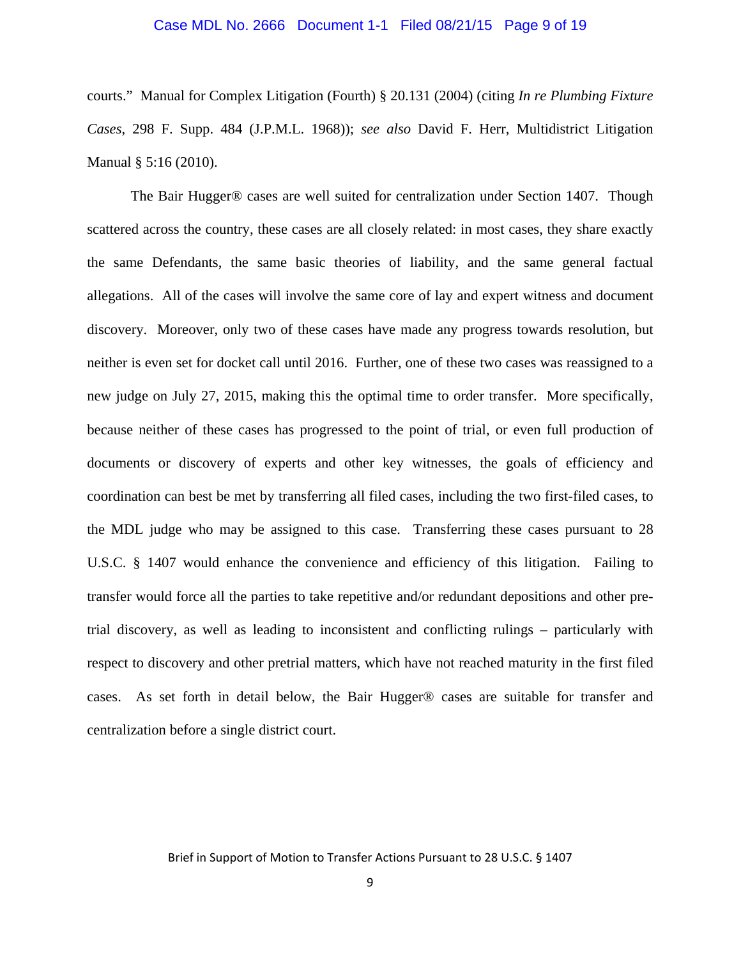#### Case MDL No. 2666 Document 1-1 Filed 08/21/15 Page 9 of 19

courts." Manual for Complex Litigation (Fourth) § 20.131 (2004) (citing *In re Plumbing Fixture Cases*, 298 F. Supp. 484 (J.P.M.L. 1968)); *see also* David F. Herr, Multidistrict Litigation Manual § 5:16 (2010).

 The Bair Hugger® cases are well suited for centralization under Section 1407. Though scattered across the country, these cases are all closely related: in most cases, they share exactly the same Defendants, the same basic theories of liability, and the same general factual allegations. All of the cases will involve the same core of lay and expert witness and document discovery. Moreover, only two of these cases have made any progress towards resolution, but neither is even set for docket call until 2016. Further, one of these two cases was reassigned to a new judge on July 27, 2015, making this the optimal time to order transfer. More specifically, because neither of these cases has progressed to the point of trial, or even full production of documents or discovery of experts and other key witnesses, the goals of efficiency and coordination can best be met by transferring all filed cases, including the two first-filed cases, to the MDL judge who may be assigned to this case. Transferring these cases pursuant to 28 U.S.C. § 1407 would enhance the convenience and efficiency of this litigation. Failing to transfer would force all the parties to take repetitive and/or redundant depositions and other pretrial discovery, as well as leading to inconsistent and conflicting rulings – particularly with respect to discovery and other pretrial matters, which have not reached maturity in the first filed cases. As set forth in detail below, the Bair Hugger® cases are suitable for transfer and centralization before a single district court.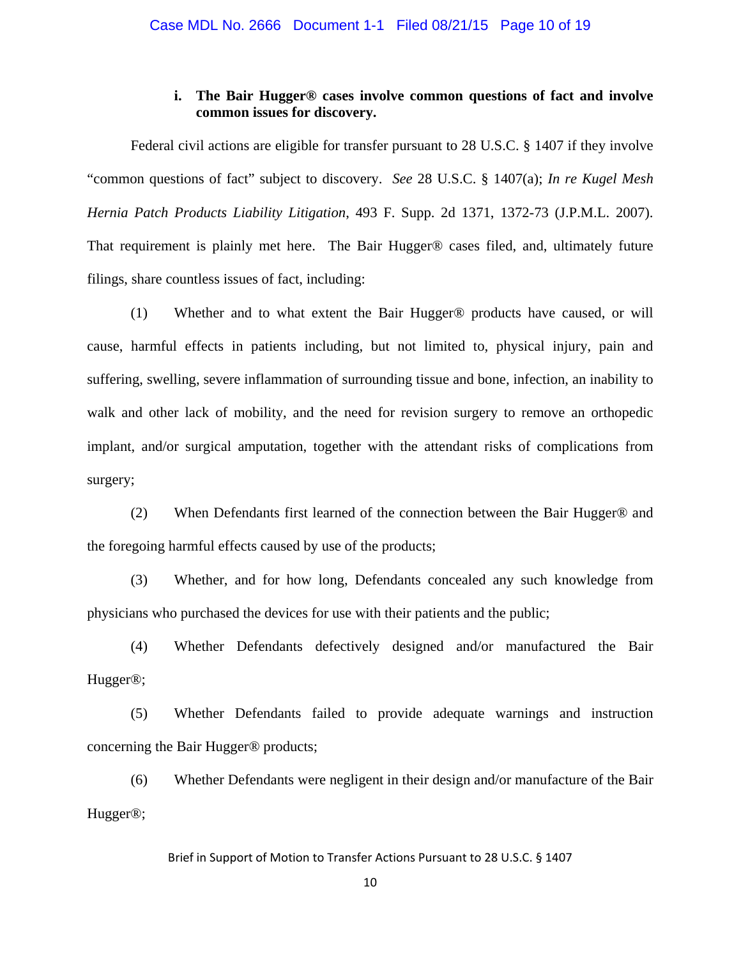## **i. The Bair Hugger® cases involve common questions of fact and involve common issues for discovery.**

Federal civil actions are eligible for transfer pursuant to 28 U.S.C. § 1407 if they involve "common questions of fact" subject to discovery. *See* 28 U.S.C. § 1407(a); *In re Kugel Mesh Hernia Patch Products Liability Litigation*, 493 F. Supp. 2d 1371, 1372-73 (J.P.M.L. 2007). That requirement is plainly met here. The Bair Hugger® cases filed, and, ultimately future filings, share countless issues of fact, including:

(1) Whether and to what extent the Bair Hugger® products have caused, or will cause, harmful effects in patients including, but not limited to, physical injury, pain and suffering, swelling, severe inflammation of surrounding tissue and bone, infection, an inability to walk and other lack of mobility, and the need for revision surgery to remove an orthopedic implant, and/or surgical amputation, together with the attendant risks of complications from surgery;

(2) When Defendants first learned of the connection between the Bair Hugger® and the foregoing harmful effects caused by use of the products;

(3) Whether, and for how long, Defendants concealed any such knowledge from physicians who purchased the devices for use with their patients and the public;

(4) Whether Defendants defectively designed and/or manufactured the Bair Hugger®;

(5) Whether Defendants failed to provide adequate warnings and instruction concerning the Bair Hugger® products;

(6) Whether Defendants were negligent in their design and/or manufacture of the Bair Hugger®;

Brief in Support of Motion to Transfer Actions Pursuant to 28 U.S.C. § 1407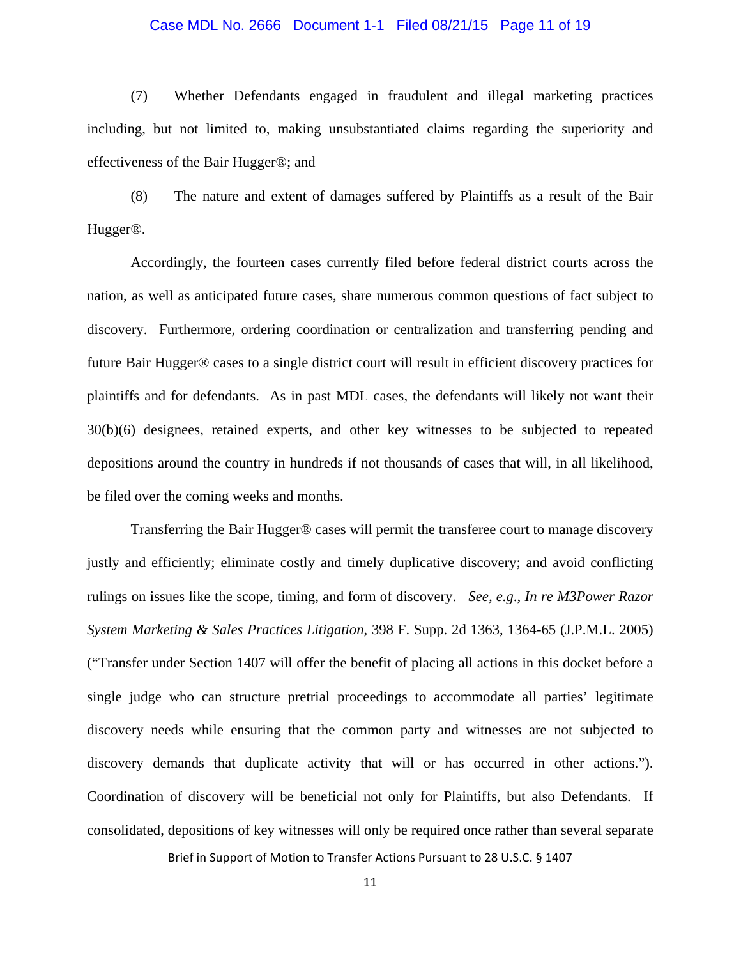### Case MDL No. 2666 Document 1-1 Filed 08/21/15 Page 11 of 19

(7) Whether Defendants engaged in fraudulent and illegal marketing practices including, but not limited to, making unsubstantiated claims regarding the superiority and effectiveness of the Bair Hugger®; and

(8) The nature and extent of damages suffered by Plaintiffs as a result of the Bair Hugger®.

Accordingly, the fourteen cases currently filed before federal district courts across the nation, as well as anticipated future cases, share numerous common questions of fact subject to discovery. Furthermore, ordering coordination or centralization and transferring pending and future Bair Hugger® cases to a single district court will result in efficient discovery practices for plaintiffs and for defendants. As in past MDL cases, the defendants will likely not want their 30(b)(6) designees, retained experts, and other key witnesses to be subjected to repeated depositions around the country in hundreds if not thousands of cases that will, in all likelihood, be filed over the coming weeks and months.

Transferring the Bair Hugger® cases will permit the transferee court to manage discovery justly and efficiently; eliminate costly and timely duplicative discovery; and avoid conflicting rulings on issues like the scope, timing, and form of discovery. *See, e.g*., *In re M3Power Razor System Marketing & Sales Practices Litigation*, 398 F. Supp. 2d 1363, 1364-65 (J.P.M.L. 2005) ("Transfer under Section 1407 will offer the benefit of placing all actions in this docket before a single judge who can structure pretrial proceedings to accommodate all parties' legitimate discovery needs while ensuring that the common party and witnesses are not subjected to discovery demands that duplicate activity that will or has occurred in other actions."). Coordination of discovery will be beneficial not only for Plaintiffs, but also Defendants. If consolidated, depositions of key witnesses will only be required once rather than several separate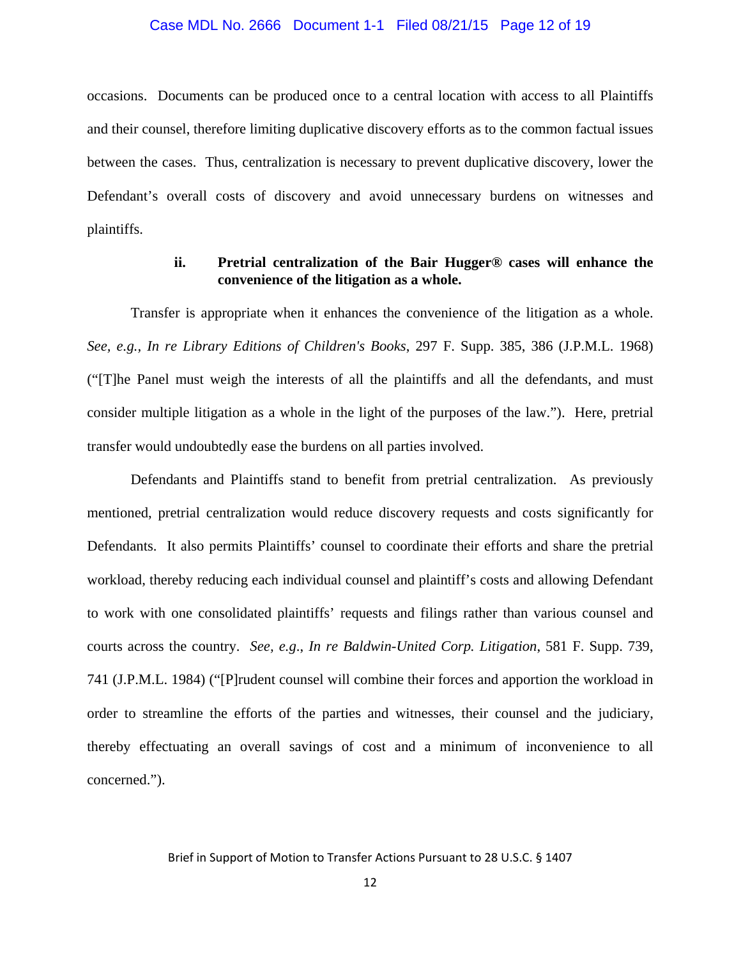#### Case MDL No. 2666 Document 1-1 Filed 08/21/15 Page 12 of 19

occasions. Documents can be produced once to a central location with access to all Plaintiffs and their counsel, therefore limiting duplicative discovery efforts as to the common factual issues between the cases. Thus, centralization is necessary to prevent duplicative discovery, lower the Defendant's overall costs of discovery and avoid unnecessary burdens on witnesses and plaintiffs.

# **ii. Pretrial centralization of the Bair Hugger® cases will enhance the convenience of the litigation as a whole.**

Transfer is appropriate when it enhances the convenience of the litigation as a whole. *See, e.g., In re Library Editions of Children's Books*, 297 F. Supp. 385, 386 (J.P.M.L. 1968) ("[T]he Panel must weigh the interests of all the plaintiffs and all the defendants, and must consider multiple litigation as a whole in the light of the purposes of the law."). Here, pretrial transfer would undoubtedly ease the burdens on all parties involved.

 Defendants and Plaintiffs stand to benefit from pretrial centralization. As previously mentioned, pretrial centralization would reduce discovery requests and costs significantly for Defendants. It also permits Plaintiffs' counsel to coordinate their efforts and share the pretrial workload, thereby reducing each individual counsel and plaintiff's costs and allowing Defendant to work with one consolidated plaintiffs' requests and filings rather than various counsel and courts across the country. *See, e.g*., *In re Baldwin-United Corp. Litigation*, 581 F. Supp. 739, 741 (J.P.M.L. 1984) ("[P]rudent counsel will combine their forces and apportion the workload in order to streamline the efforts of the parties and witnesses, their counsel and the judiciary, thereby effectuating an overall savings of cost and a minimum of inconvenience to all concerned.").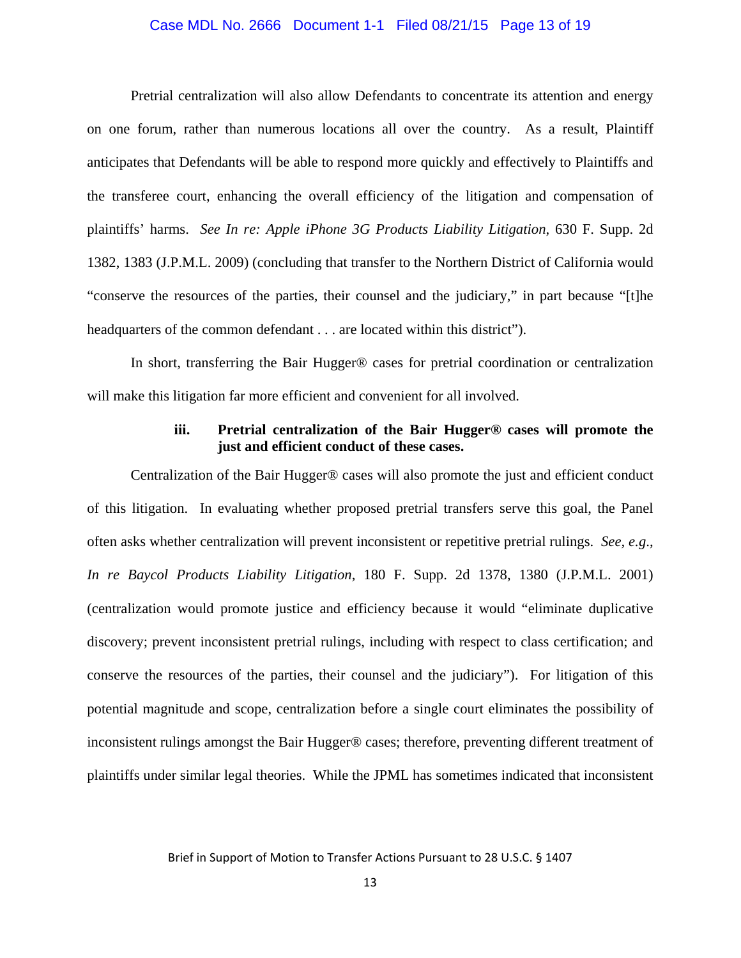### Case MDL No. 2666 Document 1-1 Filed 08/21/15 Page 13 of 19

Pretrial centralization will also allow Defendants to concentrate its attention and energy on one forum, rather than numerous locations all over the country. As a result, Plaintiff anticipates that Defendants will be able to respond more quickly and effectively to Plaintiffs and the transferee court, enhancing the overall efficiency of the litigation and compensation of plaintiffs' harms. *See In re: Apple iPhone 3G Products Liability Litigation*, 630 F. Supp. 2d 1382, 1383 (J.P.M.L. 2009) (concluding that transfer to the Northern District of California would "conserve the resources of the parties, their counsel and the judiciary," in part because "[t]he headquarters of the common defendant . . . are located within this district").

 In short, transferring the Bair Hugger® cases for pretrial coordination or centralization will make this litigation far more efficient and convenient for all involved.

## **iii. Pretrial centralization of the Bair Hugger® cases will promote the just and efficient conduct of these cases.**

Centralization of the Bair Hugger® cases will also promote the just and efficient conduct of this litigation. In evaluating whether proposed pretrial transfers serve this goal, the Panel often asks whether centralization will prevent inconsistent or repetitive pretrial rulings. *See, e.g*., *In re Baycol Products Liability Litigation*, 180 F. Supp. 2d 1378, 1380 (J.P.M.L. 2001) (centralization would promote justice and efficiency because it would "eliminate duplicative discovery; prevent inconsistent pretrial rulings, including with respect to class certification; and conserve the resources of the parties, their counsel and the judiciary"). For litigation of this potential magnitude and scope, centralization before a single court eliminates the possibility of inconsistent rulings amongst the Bair Hugger® cases; therefore, preventing different treatment of plaintiffs under similar legal theories. While the JPML has sometimes indicated that inconsistent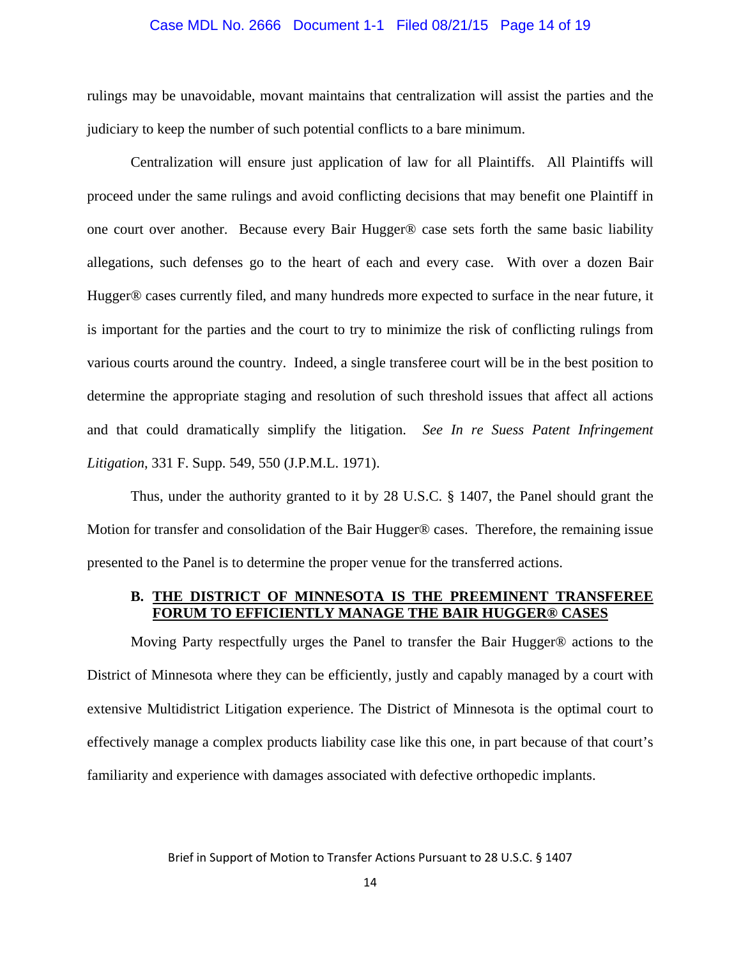### Case MDL No. 2666 Document 1-1 Filed 08/21/15 Page 14 of 19

rulings may be unavoidable, movant maintains that centralization will assist the parties and the judiciary to keep the number of such potential conflicts to a bare minimum.

Centralization will ensure just application of law for all Plaintiffs. All Plaintiffs will proceed under the same rulings and avoid conflicting decisions that may benefit one Plaintiff in one court over another. Because every Bair Hugger® case sets forth the same basic liability allegations, such defenses go to the heart of each and every case. With over a dozen Bair Hugger® cases currently filed, and many hundreds more expected to surface in the near future, it is important for the parties and the court to try to minimize the risk of conflicting rulings from various courts around the country. Indeed, a single transferee court will be in the best position to determine the appropriate staging and resolution of such threshold issues that affect all actions and that could dramatically simplify the litigation. *See In re Suess Patent Infringement Litigation*, 331 F. Supp. 549, 550 (J.P.M.L. 1971).

Thus, under the authority granted to it by 28 U.S.C. § 1407, the Panel should grant the Motion for transfer and consolidation of the Bair Hugger® cases. Therefore, the remaining issue presented to the Panel is to determine the proper venue for the transferred actions.

### **B. THE DISTRICT OF MINNESOTA IS THE PREEMINENT TRANSFEREE FORUM TO EFFICIENTLY MANAGE THE BAIR HUGGER® CASES**

Moving Party respectfully urges the Panel to transfer the Bair Hugger® actions to the District of Minnesota where they can be efficiently, justly and capably managed by a court with extensive Multidistrict Litigation experience. The District of Minnesota is the optimal court to effectively manage a complex products liability case like this one, in part because of that court's familiarity and experience with damages associated with defective orthopedic implants.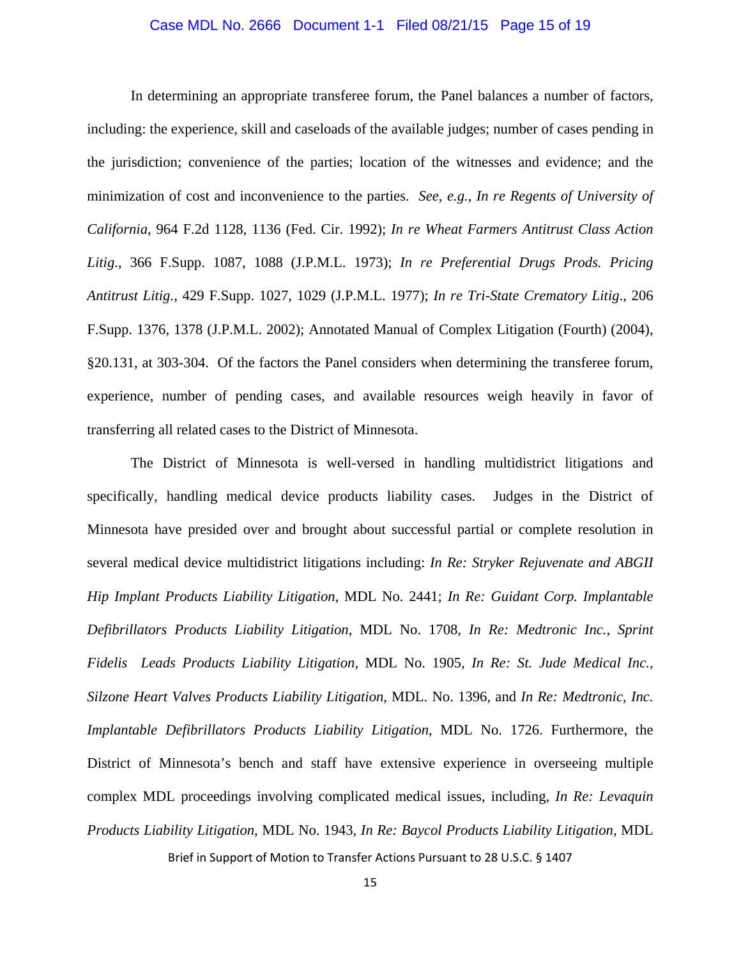### Case MDL No. 2666 Document 1-1 Filed 08/21/15 Page 15 of 19

In determining an appropriate transferee forum, the Panel balances a number of factors, including: the experience, skill and caseloads of the available judges; number of cases pending in the jurisdiction; convenience of the parties; location of the witnesses and evidence; and the minimization of cost and inconvenience to the parties. *See*, *e.g.*, *In re Regents of University of California*, 964 F.2d 1128, 1136 (Fed. Cir. 1992); *In re Wheat Farmers Antitrust Class Action Litig*., 366 F.Supp. 1087, 1088 (J.P.M.L. 1973); *In re Preferential Drugs Prods. Pricing Antitrust Litig.*, 429 F.Supp. 1027, 1029 (J.P.M.L. 1977); *In re Tri-State Crematory Litig*., 206 F.Supp. 1376, 1378 (J.P.M.L. 2002); Annotated Manual of Complex Litigation (Fourth) (2004), §20.131, at 303-304. Of the factors the Panel considers when determining the transferee forum, experience, number of pending cases, and available resources weigh heavily in favor of transferring all related cases to the District of Minnesota.

The District of Minnesota is well-versed in handling multidistrict litigations and specifically, handling medical device products liability cases. Judges in the District of Minnesota have presided over and brought about successful partial or complete resolution in several medical device multidistrict litigations including: *In Re: Stryker Rejuvenate and ABGII Hip Implant Products Liability Litigation*, MDL No. 2441; *In Re: Guidant Corp. Implantable Defibrillators Products Liability Litigation,* MDL No. 1708*, In Re: Medtronic Inc., Sprint Fidelis Leads Products Liability Litigation,* MDL No. 1905*, In Re: St. Jude Medical Inc., Silzone Heart Valves Products Liability Litigation,* MDL. No. 1396, and *In Re: Medtronic, Inc. Implantable Defibrillators Products Liability Litigation*, MDL No. 1726. Furthermore, the District of Minnesota's bench and staff have extensive experience in overseeing multiple complex MDL proceedings involving complicated medical issues, including, *In Re: Levaquin Products Liability Litigation*, MDL No. 1943, *In Re: Baycol Products Liability Litigation*, MDL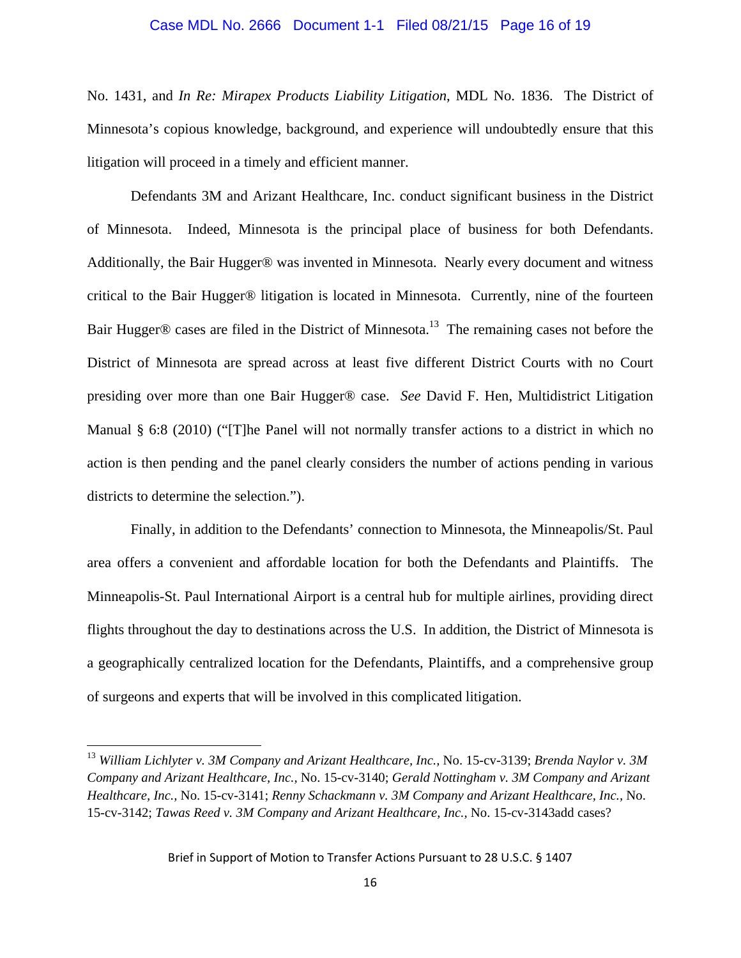### Case MDL No. 2666 Document 1-1 Filed 08/21/15 Page 16 of 19

No. 1431, and *In Re: Mirapex Products Liability Litigation*, MDL No. 1836.The District of Minnesota's copious knowledge, background, and experience will undoubtedly ensure that this litigation will proceed in a timely and efficient manner.

Defendants 3M and Arizant Healthcare, Inc. conduct significant business in the District of Minnesota. Indeed, Minnesota is the principal place of business for both Defendants. Additionally, the Bair Hugger® was invented in Minnesota. Nearly every document and witness critical to the Bair Hugger® litigation is located in Minnesota. Currently, nine of the fourteen Bair Hugger® cases are filed in the District of Minnesota.<sup>13</sup> The remaining cases not before the District of Minnesota are spread across at least five different District Courts with no Court presiding over more than one Bair Hugger® case. *See* David F. Hen, Multidistrict Litigation Manual § 6:8 (2010) ("[T]he Panel will not normally transfer actions to a district in which no action is then pending and the panel clearly considers the number of actions pending in various districts to determine the selection.").

Finally, in addition to the Defendants' connection to Minnesota, the Minneapolis/St. Paul area offers a convenient and affordable location for both the Defendants and Plaintiffs. The Minneapolis-St. Paul International Airport is a central hub for multiple airlines, providing direct flights throughout the day to destinations across the U.S. In addition, the District of Minnesota is a geographically centralized location for the Defendants, Plaintiffs, and a comprehensive group of surgeons and experts that will be involved in this complicated litigation.

<sup>13</sup> *William Lichlyter v. 3M Company and Arizant Healthcare, Inc.,* No. 15-cv-3139; *Brenda Naylor v. 3M Company and Arizant Healthcare, Inc.,* No. 15-cv-3140; *Gerald Nottingham v. 3M Company and Arizant Healthcare, Inc.,* No. 15-cv-3141; *Renny Schackmann v. 3M Company and Arizant Healthcare, Inc.,* No. 15-cv-3142; *Tawas Reed v. 3M Company and Arizant Healthcare, Inc.,* No. 15-cv-3143add cases?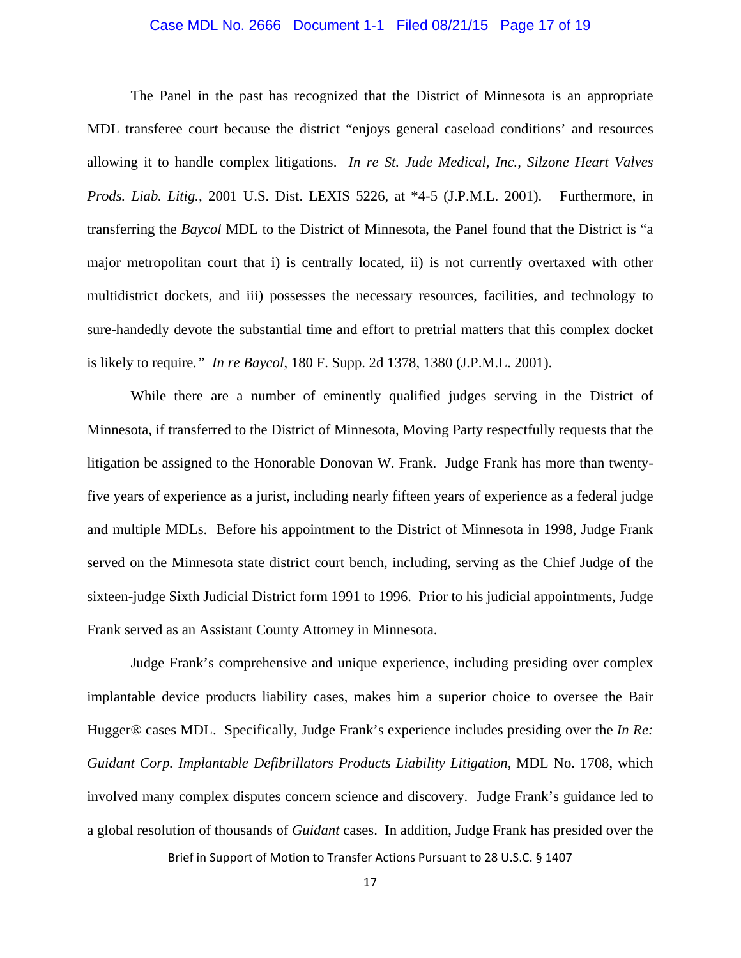### Case MDL No. 2666 Document 1-1 Filed 08/21/15 Page 17 of 19

The Panel in the past has recognized that the District of Minnesota is an appropriate MDL transferee court because the district "enjoys general caseload conditions' and resources allowing it to handle complex litigations. *In re St. Jude Medical, Inc., Silzone Heart Valves Prods. Liab. Litig.,* 2001 U.S. Dist. LEXIS 5226, at \*4-5 (J.P.M.L. 2001). Furthermore, in transferring the *Baycol* MDL to the District of Minnesota, the Panel found that the District is "a major metropolitan court that i) is centrally located, ii) is not currently overtaxed with other multidistrict dockets, and iii) possesses the necessary resources, facilities, and technology to sure-handedly devote the substantial time and effort to pretrial matters that this complex docket is likely to require*." In re Baycol*, 180 F. Supp. 2d 1378, 1380 (J.P.M.L. 2001).

While there are a number of eminently qualified judges serving in the District of Minnesota, if transferred to the District of Minnesota, Moving Party respectfully requests that the litigation be assigned to the Honorable Donovan W. Frank. Judge Frank has more than twentyfive years of experience as a jurist, including nearly fifteen years of experience as a federal judge and multiple MDLs. Before his appointment to the District of Minnesota in 1998, Judge Frank served on the Minnesota state district court bench, including, serving as the Chief Judge of the sixteen-judge Sixth Judicial District form 1991 to 1996. Prior to his judicial appointments, Judge Frank served as an Assistant County Attorney in Minnesota.

Judge Frank's comprehensive and unique experience, including presiding over complex implantable device products liability cases, makes him a superior choice to oversee the Bair Hugger® cases MDL. Specifically, Judge Frank's experience includes presiding over the *In Re: Guidant Corp. Implantable Defibrillators Products Liability Litigation,* MDL No. 1708, which involved many complex disputes concern science and discovery. Judge Frank's guidance led to a global resolution of thousands of *Guidant* cases. In addition, Judge Frank has presided over the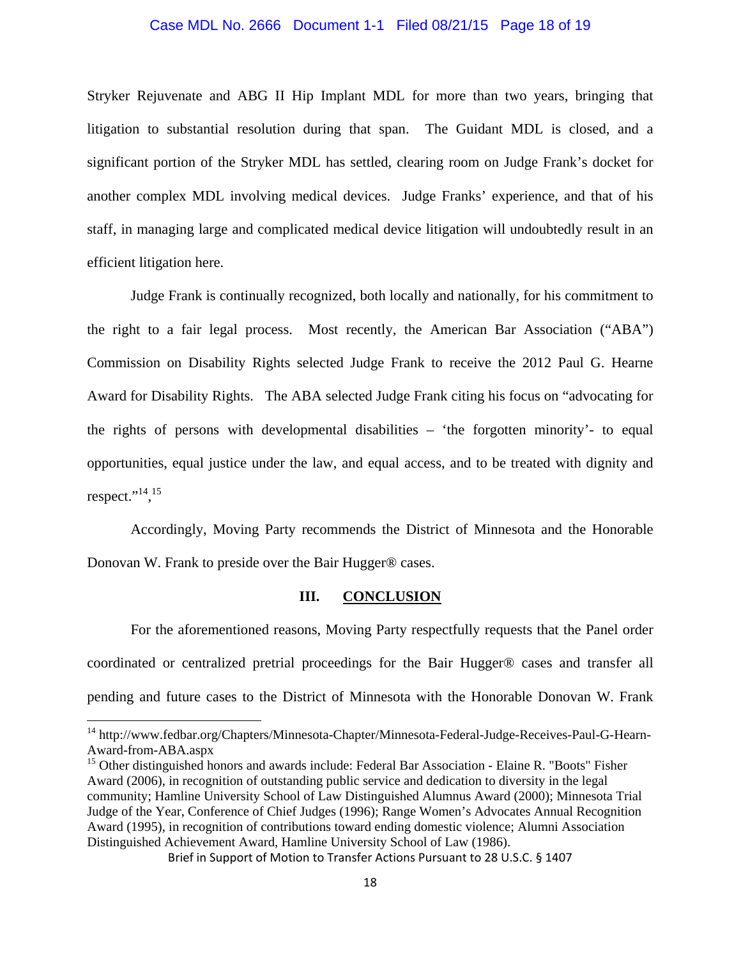### Case MDL No. 2666 Document 1-1 Filed 08/21/15 Page 18 of 19

Stryker Rejuvenate and ABG II Hip Implant MDL for more than two years, bringing that litigation to substantial resolution during that span. The Guidant MDL is closed, and a significant portion of the Stryker MDL has settled, clearing room on Judge Frank's docket for another complex MDL involving medical devices. Judge Franks' experience, and that of his staff, in managing large and complicated medical device litigation will undoubtedly result in an efficient litigation here.

Judge Frank is continually recognized, both locally and nationally, for his commitment to the right to a fair legal process. Most recently, the American Bar Association ("ABA") Commission on Disability Rights selected Judge Frank to receive the 2012 Paul G. Hearne Award for Disability Rights. The ABA selected Judge Frank citing his focus on "advocating for the rights of persons with developmental disabilities – 'the forgotten minority'- to equal opportunities, equal justice under the law, and equal access, and to be treated with dignity and respect." $^{14}$ ,  $^{15}$ 

Accordingly, Moving Party recommends the District of Minnesota and the Honorable Donovan W. Frank to preside over the Bair Hugger® cases.

### **III. CONCLUSION**

 For the aforementioned reasons, Moving Party respectfully requests that the Panel order coordinated or centralized pretrial proceedings for the Bair Hugger® cases and transfer all pending and future cases to the District of Minnesota with the Honorable Donovan W. Frank

<sup>&</sup>lt;sup>14</sup> http://www.fedbar.org/Chapters/Minnesota-Chapter/Minnesota-Federal-Judge-Receives-Paul-G-Hearn-Award-from-ABA.aspx

<sup>&</sup>lt;sup>15</sup> Other distinguished honors and awards include: Federal Bar Association - Elaine R. "Boots" Fisher Award (2006), in recognition of outstanding public service and dedication to diversity in the legal community; Hamline University School of Law Distinguished Alumnus Award (2000); Minnesota Trial Judge of the Year, Conference of Chief Judges (1996); Range Women's Advocates Annual Recognition Award (1995), in recognition of contributions toward ending domestic violence; Alumni Association Distinguished Achievement Award, Hamline University School of Law (1986).